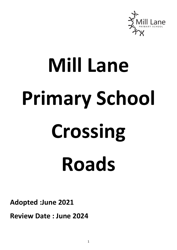

## **Mill Lane Primary School Crossing Roads**

**Adopted :June 2021**

**Review Date : June 2024**